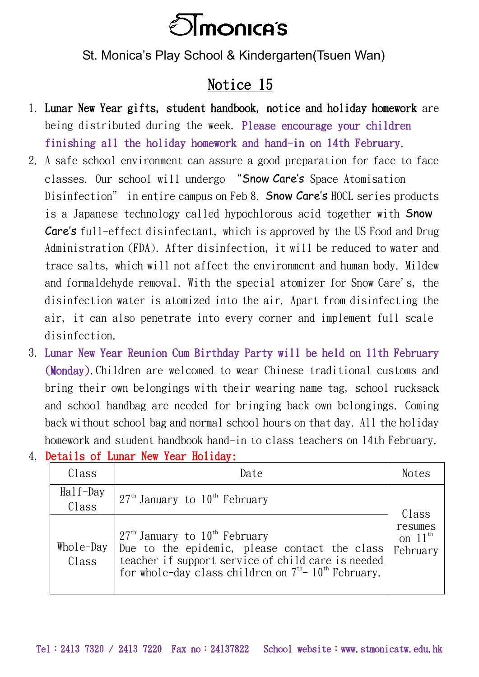

St. Monica's Play School & Kindergarten(Tsuen Wan)

## Notice 15

- 1. Lunar New Year gifts, student handbook, notice and holiday homework are being distributed during the week. Please encourage your children finishing all the holiday homework and hand-in on 14th February.
- 2. A safe school environment can assure a good preparation for face to face classes. Our school will undergo "Snow Care's Space Atomisation Disinfection" in entire campus on Feb 8. Snow Care's HOCL series products is a Japanese technology called hypochlorous acid together with Snow Care's full-effect disinfectant, which is approved by the US Food and Drug Administration (FDA). After disinfection, it will be reduced to water and trace salts, which will not affect the environment and human body. Mildew and formaldehyde removal. With the special atomizer for Snow Care's, the disinfection water is atomized into the air. Apart from disinfecting the air, it can also penetrate into every corner and implement full-scale disinfection.
- 3. Lunar New Year Reunion Cum Birthday Party will be held on 11th February (Monday).Children are welcomed to wear Chinese traditional customs and bring their own belongings with their wearing name tag, school rucksack and school handbag are needed for bringing back own belongings. Coming back without school bag and normal school hours on that day. All the holiday homework and student handbook hand-in to class teachers on 14th February.

|  |  |  | 4. Details of Lunar New Year Holiday: |
|--|--|--|---------------------------------------|
|  |  |  |                                       |

| Class                | Date                                                                                                                                                                                                           | Notes                                               |
|----------------------|----------------------------------------------------------------------------------------------------------------------------------------------------------------------------------------------------------------|-----------------------------------------------------|
| $Half$ -Day<br>Class | $27th$ January to $10th$ February                                                                                                                                                                              | Class<br>resumes<br>on $11^{\text{th}}$<br>February |
| Whole-Day<br>Class   | $27th$ January to $10th$ February<br>Due to the epidemic, please contact the class<br>teacher if support service of child care is needed<br>for whole-day class children on $7th$ - 10 <sup>th</sup> February. |                                                     |